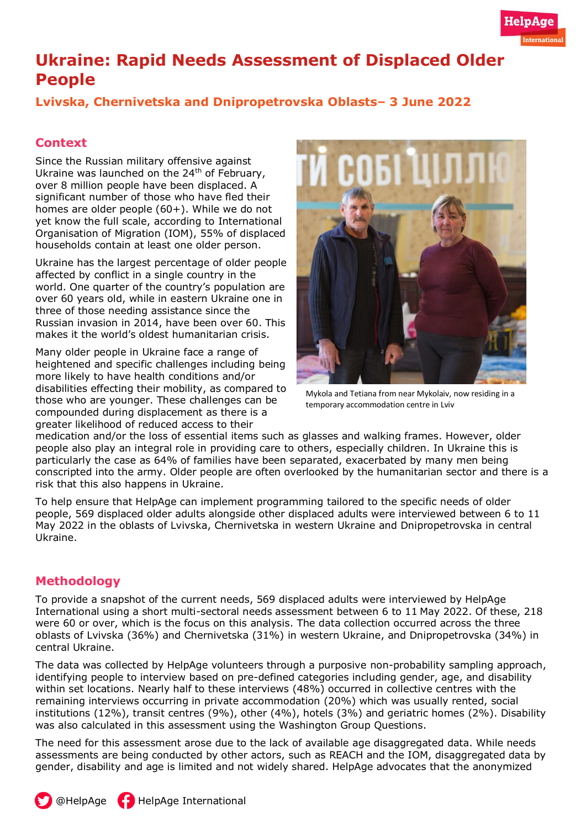# **Ukraine: Rapid Needs Assessment of Displaced Older People**

# **Lvivska, Chernivetska and Dnipropetrovska Oblasts– 3 June 2022**

## **Context**

Since the Russian military offensive against Ukraine was launched on the 24<sup>th</sup> of February, over [8 million](https://displacement.iom.int/sites/default/files/public/reports/IOM_Gen%20Pop%20Report_R4_ENG%20_final_0.pdf) people have been displaced. A significant number of those who have fled their homes are older people (60+). While we do not yet know the full scale, according to International Organisation of Migration (IOM), [55%](https://displacement.iom.int/sites/default/files/public/reports/IOM_Gen%20Pop%20Report_R4_ENG%20_final_0.pdf) of displaced households contain at least one older person.

Ukraine has the largest percentage of older people affected by conflict in a single country in the world. One quarter of the country's population are over 60 years old, while in eastern Ukraine one in three of those needing assistance since the Russian invasion in 2014, have been over 60. This makes it the world's oldest humanitarian crisis.

Many older people in Ukraine face a range of heightened and specific challenges including being more likely to have health conditions and/or disabilities effecting their mobility, as compared to those who are younger. These challenges can be compounded during displacement as there is a greater likelihood of reduced access to their



Mykola and Tetiana from near Mykolaiv, now residing in a temporary accommodation centre in Lviv

medication and/or the loss of essential items such as glasses and walking frames. However, older people also play an integral role in providing care to others, especially children. In Ukraine this is particularly the case as [64%](https://displacement.iom.int/sites/default/files/public/reports/IOM_Gen%20Pop%20Report_R4_ENG%20_final_0.pdf) of families have been separated, exacerbated by many men being conscripted into the army. Older people are often overlooked by the humanitarian sector and there is a risk that this also happens in Ukraine.

To help ensure that HelpAge can implement programming tailored to the specific needs of older people, 569 displaced older adults alongside other displaced adults were interviewed between 6 to 11 May 2022 in the oblasts of Lvivska, Chernivetska in western Ukraine and Dnipropetrovska in central Ukraine.

### **Methodology**

To provide a snapshot of the current needs, 569 displaced adults were interviewed by HelpAge International using a short multi-sectoral needs assessment between 6 to 11 May 2022. Of these, 218 were 60 or over, which is the focus on this analysis. The data collection occurred across the three oblasts of Lvivska (36%) and Chernivetska (31%) in western Ukraine, and Dnipropetrovska (34%) in central Ukraine.

The data was collected by HelpAge volunteers through a purposive non-probability sampling approach, identifying people to interview based on pre-defined categories including gender, age, and disability within set locations. Nearly half to these interviews (48%) occurred in collective centres with the remaining interviews occurring in private accommodation (20%) which was usually rented, social institutions (12%), transit centres (9%), other (4%), hotels (3%) and geriatric homes (2%). Disability was also calculated in this assessment using the Washington Group Questions.

The need for this assessment arose due to the lack of available age disaggregated data. While needs assessments are being conducted by other actors, such as REACH and the IOM, disaggregated data by gender, disability and age is limited and not widely shared. HelpAge advocates that the anonymized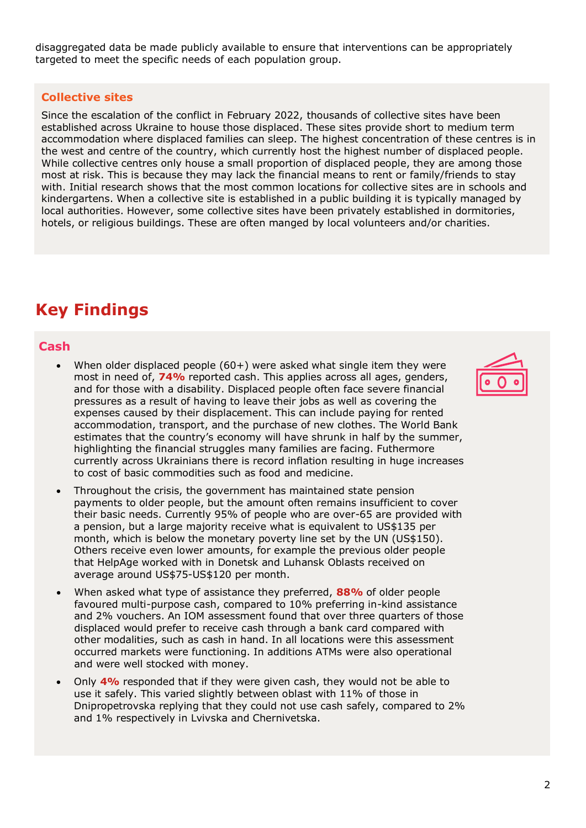disaggregated data be made publicly available to ensure that interventions can be appropriately targeted to meet the specific needs of each population group.

#### **Collective sites**

Since the escalation of the conflict in February 2022, [thousands](https://www.impact-repository.org/document/reach/86bf03a2/UKR2207-Collective-Sites-Mapping-in-Ukraine-Overview-Factsheet_10052022.pdf) of collective sites have been established across Ukraine to house those displaced. These sites provide short to medium term accommodation where displaced families can sleep. The highest concentration of these centres is in the west and centre of the country, which currently host the highest number of displaced people. While collective centres only house a small proportion of displaced people, they are among those most at risk. This is because they may lack the financial means to rent or family/friends to stay with. Initial research shows that the most common locations for collective sites are in schools and kindergartens. When a collective site is established in a public building it is typically managed by local authorities. However, some collective sites have been privately established in dormitories, hotels, or religious buildings. These are often manged by local volunteers and/or charities.

# **Key Findings**

#### **Cash**

- When older displaced people  $(60+)$  were asked what single item they were most in need of, **74%** reported cash. This applies across all ages, genders, and for those with a disability. Displaced people often face severe financial pressures as a result of having to leave their jobs as well as covering the expenses caused by their displacement. This can include paying for rented accommodation, transport, and the purchase of new clothes. The World Bank estimates that the country's economy will have shrunk in [half](https://www.weforum.org/agenda/2022/04/ukraine-economy-decline-war/#:~:text=Ukraine) by the summer, highlighting the financial struggles many families are facing. Futhermore currently across Ukrainians there is record inflation resulting in huge increases to cost of basic commodities such as food and medicine.
- Throughout the crisis, the government has maintained state pension payments to older people, but the amount often remains insufficient to cover their basic needs. Currently 95% of people who are over-65 are provided with a pension, but a large majority receive what is equivalent to [US\\$135](https://documents1.worldbank.org/curated/en/970301646984743310/pdf/Living-Paper-1.pdf) per month, which is below the monetary poverty line set by the UN (US\$150). Others receive even lower amounts, for example the previous older people that HelpAge worked with in Donetsk and Luhansk Oblasts received on average around US\$75-US\$120 per month.
- When asked what type of assistance they preferred, **88%** of older people favoured multi-purpose cash, compared to 10% preferring in-kind assistance and 2% vouchers. An IOM assessment found that over three quarters of those displaced would prefer to receive cash through a bank card compared with other modalities, such as cash in hand. In all locations were this assessment occurred markets were functioning. In additions ATMs were also operational and were well stocked with money.
- Only **4%** responded that if they were given cash, they would not be able to use it safely. This varied slightly between oblast with 11% of those in Dnipropetrovska replying that they could not use cash safely, compared to 2% and 1% respectively in Lvivska and Chernivetska.

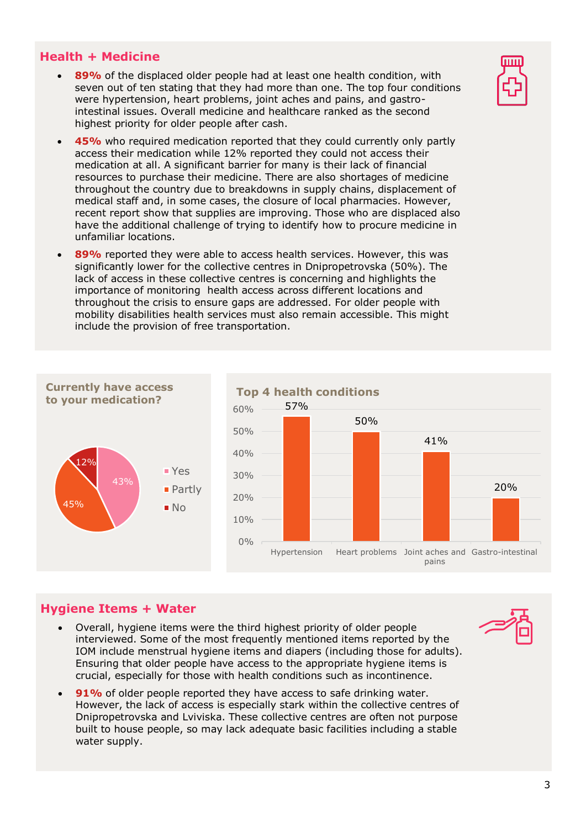#### **Health + Medicine**

- 89% of the displaced older people had at least one health condition, with seven out of ten stating that they had more than one. The top four conditions were hypertension, heart problems, joint aches and pains, and gastrointestinal issues. Overall medicine and healthcare ranked as the second highest priority for older people after cash.
- **45%** who required medication reported that they could currently only partly access their medication while 12% reported they could not access their medication at all. A significant barrier for many is their lack of financial resources to purchase their medicine. There are also [shortages](https://www.humanitarianresponse.info/sites/www.humanitarianresponse.info/files/documents/files/phsa_ukraine-longform-290422-en.pdf) of medicine throughout the country due to breakdowns in supply chains, displacement of medical staff and, in some cases, the closure of local pharmacies. However, recent report show that supplies are improving. Those who are displaced also have the additional challenge of trying to identify how to procure medicine in unfamiliar locations.
- **89%** reported they were able to access health services. However, this was significantly lower for the collective centres in Dnipropetrovska (50%). The lack of access in these collective centres is concerning and highlights the importance of monitoring health access across different locations and throughout the crisis to ensure gaps are addressed. For older people with mobility disabilities health services must also remain accessible. This might include the provision of free transportation.



### **Hygiene Items + Water**

- Overall, hygiene items were the third highest priority of older people interviewed. Some of the most frequently mentioned items reported by the IOM include [menstrual hygiene items](https://displacement.iom.int/sites/default/files/public/reports/IOM_Gen%20Pop%20Report_R4_ENG%20_final_0.pdf) and diapers (including those for adults). Ensuring that older people have access to the appropriate hygiene items is crucial, especially for those with health conditions such as incontinence.
- 91% of older people reported they have access to safe drinking water. However, the lack of access is especially stark within the collective centres of Dnipropetrovska and Lviviska. These collective centres are often not purpose built to house people, so may lack adequate basic facilities including a stable water supply.



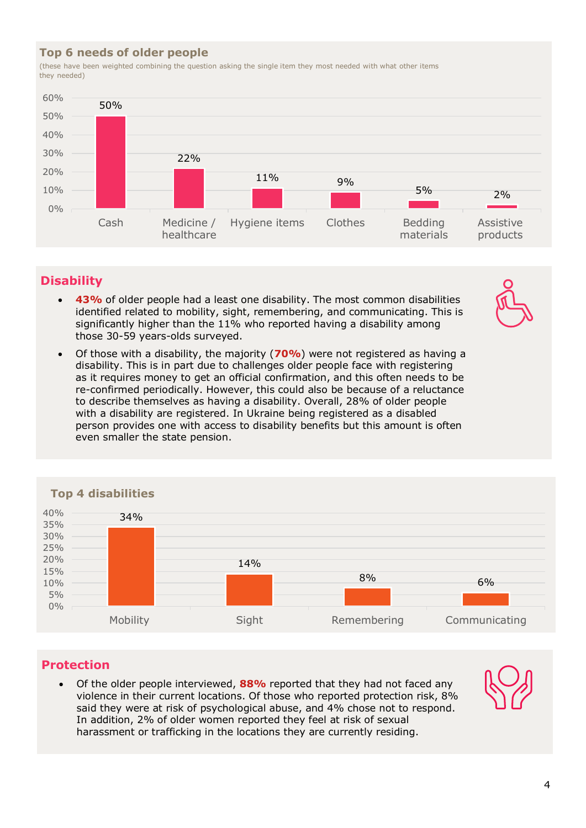### **Top 6 needs of older people**

(these have been weighted combining the question asking the single item they most needed with what other items they needed)



# **Disability**

- 43% of older people had a least one disability. The most common disabilities identified related to mobility, sight, remembering, and communicating. This is significantly higher than the 11% who reported having a disability among those 30-59 years-olds surveyed.
- Of those with a disability, the majority (**70%**) were not registered as having a disability. This is in part due to challenges older people face with registering as it requires money to get an official confirmation, and this often needs to be re-confirmed periodically. However, this could also be because of a reluctance to describe themselves as having a disability. Overall, 28% of older people with a disability are registered. In Ukraine being registered as a disabled person provides one with access to disability benefits but this amount is often even smaller the state pension.



### **Top 4 disabilities**

### **Protection**

• Of the older people interviewed, **88%** reported that they had not faced any violence in their current locations. Of those who reported protection risk, 8% said they were at risk of psychological abuse, and 4% chose not to respond. In addition, 2% of older women reported they feel at risk of sexual harassment or trafficking in the locations they are currently residing.

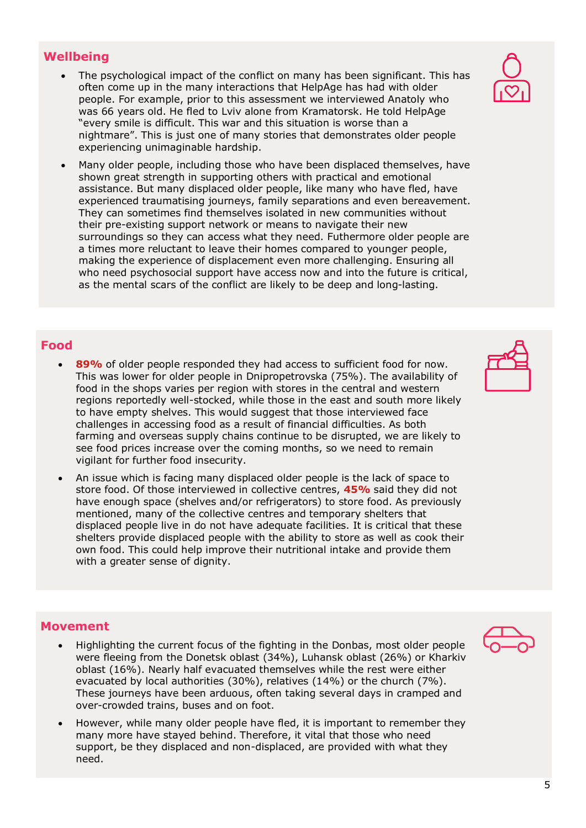- The psychological impact of the conflict on many has been significant. This has often come up in the many interactions that HelpAge has had with older people. For example, prior to this assessment we interviewed Anatoly who was 66 years old. He fled to Lviv alone from Kramatorsk. He told HelpAge "every smile is difficult. This war and this situation is worse than a nightmare". This is just one of many stories that demonstrates older people experiencing unimaginable hardship.
- Many older people, including those who have been displaced themselves, have shown great strength in supporting others with practical and emotional assistance. But many displaced older people, like many who have fled, have experienced traumatising journeys, family separations and even bereavement. They can sometimes find themselves isolated in new communities without their pre-existing support network or means to navigate their new surroundings so they can access what they need. Futhermore older people are a times more reluctant to leave their homes compared to younger people, making the experience of displacement even more challenging. Ensuring all who need psychosocial support have access now and into the future is critical, as the mental scars of the conflict are likely to be deep and long-lasting.

### **Food**

- **89%** of older people responded they had access to sufficient food for now. This was lower for older people in Dnipropetrovska (75%). The availability of food in the shops varies per region with stores in the central and western regions reportedly well-stocked, while those in the east and south more likely to have empty shelves. This would suggest that those interviewed face challenges in accessing food as a result of financial difficulties. As both farming and overseas supply chains continue to be disrupted, we are likely to see food prices increase over the coming months, so we need to remain vigilant for further food insecurity.
- An issue which is facing many displaced older people is the lack of space to store food. Of those interviewed in collective centres, **45%** said they did not have enough space (shelves and/or refrigerators) to store food. As previously mentioned, many of the collective centres and temporary shelters that displaced people live in do not have adequate facilities. It is critical that these shelters provide displaced people with the ability to store as well as cook their own food. This could help improve their nutritional intake and provide them with a greater sense of dignity.

#### **Movement**

- Highlighting the current focus of the fighting in the Donbas, most older people were fleeing from the Donetsk oblast (34%), Luhansk oblast (26%) or Kharkiv oblast (16%). Nearly half evacuated themselves while the rest were either evacuated by local authorities (30%), relatives (14%) or the church (7%). These journeys have been arduous, often taking several days in cramped and over-crowded trains, buses and on foot.
- However, while many older people have fled, it is important to remember they many more have stayed behind. Therefore, it vital that those who need support, be they displaced and non-displaced, are provided with what they need.





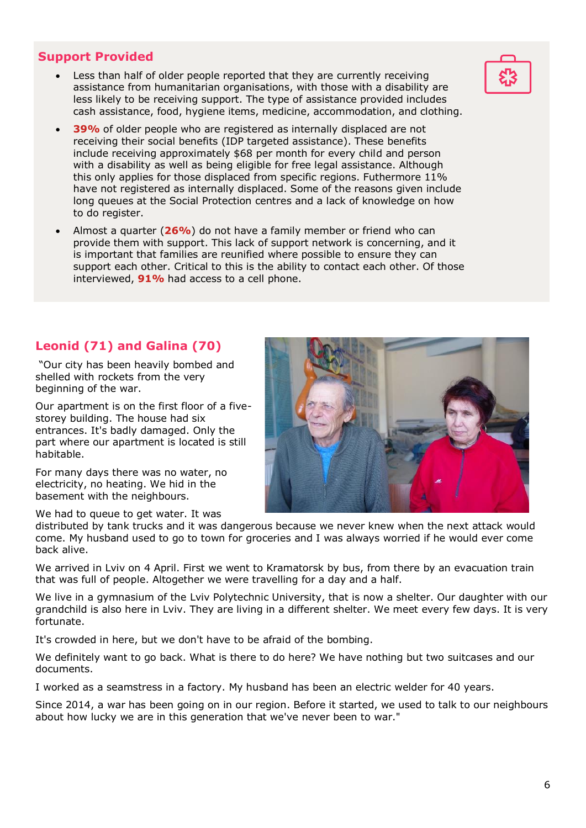### **Support Provided**

- Less than half of older people reported that they are currently receiving assistance from humanitarian organisations, with those with a disability are less likely to be receiving support. The type of assistance provided includes cash assistance, food, hygiene items, medicine, accommodation, and clothing.
- **39%** of older people who are registered as internally displaced are not receiving their social benefits (IDP targeted assistance). These benefits include receiving approximately \$68 per month for every child and person with a disability as well as being eligible for free legal assistance. Although this only applies for those displaced from specific regions. Futhermore 11% have not registered as internally displaced. Some of the reasons given include long queues at the Social Protection centres and a lack of knowledge on how to do register.
- Almost a quarter (**26%**) do not have a family member or friend who can provide them with support. This lack of support network is concerning, and it is important that families are reunified where possible to ensure they can support each other. Critical to this is the ability to contact each other. Of those interviewed, **91%** had access to a cell phone.

# **Leonid (71) and Galina (70)**

"Our city has been heavily bombed and shelled with rockets from the very beginning of the war.

Our apartment is on the first floor of a fivestorey building. The house had six entrances. It's badly damaged. Only the part where our apartment is located is still habitable.

For many days there was no water, no electricity, no heating. We hid in the basement with the neighbours.

We had to queue to get water. It was



distributed by tank trucks and it was dangerous because we never knew when the next attack would come. My husband used to go to town for groceries and I was always worried if he would ever come back alive.

We arrived in Lviv on 4 April. First we went to Kramatorsk by bus, from there by an evacuation train that was full of people. Altogether we were travelling for a day and a half.

We live in a gymnasium of the Lviv Polytechnic University, that is now a shelter. Our daughter with our grandchild is also here in Lviv. They are living in a different shelter. We meet every few days. It is very fortunate.

It's crowded in here, but we don't have to be afraid of the bombing.

We definitely want to go back. What is there to do here? We have nothing but two suitcases and our documents.

I worked as a seamstress in a factory. My husband has been an electric welder for 40 years.

Since 2014, a war has been going on in our region. Before it started, we used to talk to our neighbours about how lucky we are in this generation that we've never been to war."